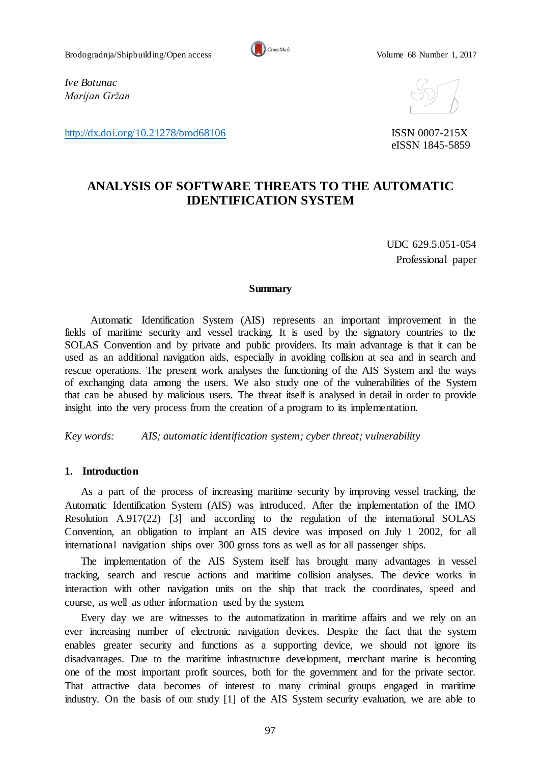

*Ive Botunac Marijan Gržan*

<http://dx.doi.org/10.21278/brod68106> ISSN 0007-215X



eISSN 1845-5859

# **ANALYSIS OF SOFTWARE THREATS TO THE AUTOMATIC IDENTIFICATION SYSTEM**

UDC 629.5.051-054 Professional paper

### **Summary**

Automatic Identification System (AIS) represents an important improvement in the fields of maritime security and vessel tracking. It is used by the signatory countries to the SOLAS Convention and by private and public providers. Its main advantage is that it can be used as an additional navigation aids, especially in avoiding collision at sea and in search and rescue operations. The present work analyses the functioning of the AIS System and the ways of exchanging data among the users. We also study one of the vulnerabilities of the System that can be abused by malicious users. The threat itself is analysed in detail in order to provide insight into the very process from the creation of a program to its implementation.

*Key words: AIS; automatic identification system; cyber threat; vulnerability*

## **1. Introduction**

As a part of the process of increasing maritime security by improving vessel tracking, the Automatic Identification System (AIS) was introduced. After the implementation of the IMO Resolution A.917(22) [3] and according to the regulation of the international SOLAS Convention, an obligation to implant an AIS device was imposed on July 1 2002, for all international navigation ships over 300 gross tons as well as for all passenger ships.

The implementation of the AIS System itself has brought many advantages in vessel tracking, search and rescue actions and maritime collision analyses. The device works in interaction with other navigation units on the ship that track the coordinates, speed and course, as well as other information used by the system.

Every day we are witnesses to the automatization in maritime affairs and we rely on an ever increasing number of electronic navigation devices. Despite the fact that the system enables greater security and functions as a supporting device, we should not ignore its disadvantages. Due to the maritime infrastructure development, merchant marine is becoming one of the most important profit sources, both for the government and for the private sector. That attractive data becomes of interest to many criminal groups engaged in maritime industry. On the basis of our study [1] of the AIS System security evaluation, we are able to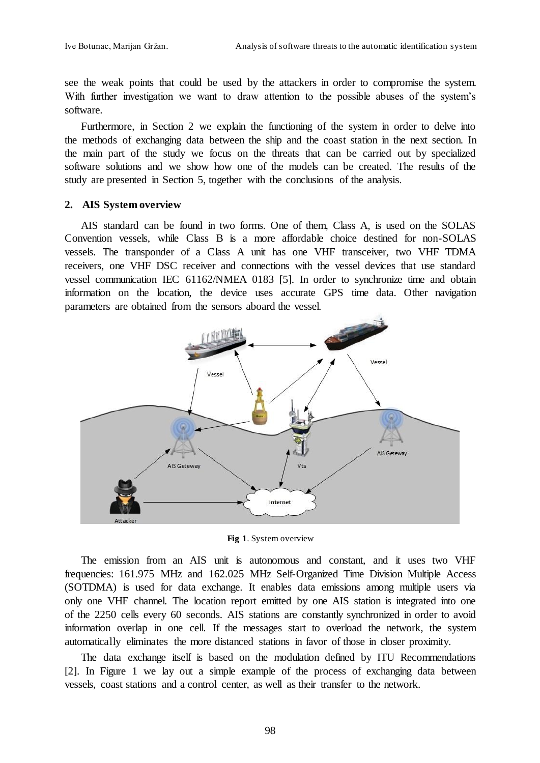see the weak points that could be used by the attackers in order to compromise the system. With further investigation we want to draw attention to the possible abuses of the system's software.

Furthermore, in Section 2 we explain the functioning of the system in order to delve into the methods of exchanging data between the ship and the coast station in the next section. In the main part of the study we focus on the threats that can be carried out by specialized software solutions and we show how one of the models can be created. The results of the study are presented in Section 5, together with the conclusions of the analysis.

## **2. AIS System overview**

AIS standard can be found in two forms. One of them, Class A, is used on the SOLAS Convention vessels, while Class B is a more affordable choice destined for non-SOLAS vessels. The transponder of a Class A unit has one VHF transceiver, two VHF TDMA receivers, one VHF DSC receiver and connections with the vessel devices that use standard vessel communication IEC 61162/NMEA 0183 [5]. In order to synchronize time and obtain information on the location, the device uses accurate GPS time data. Other navigation parameters are obtained from the sensors aboard the vessel.



**Fig 1**. System overview

The emission from an AIS unit is autonomous and constant, and it uses two VHF frequencies: 161.975 MHz and 162.025 MHz Self-Organized Time Division Multiple Access (SOTDMA) is used for data exchange. It enables data emissions among multiple users via only one VHF channel. The location report emitted by one AIS station is integrated into one of the 2250 cells every 60 seconds. AIS stations are constantly synchronized in order to avoid information overlap in one cell. If the messages start to overload the network, the system automatically eliminates the more distanced stations in favor of those in closer proximity.

The data exchange itself is based on the modulation defined by ITU Recommendations [2]. In Figure 1 we lay out a simple example of the process of exchanging data between vessels, coast stations and a control center, as well as their transfer to the network.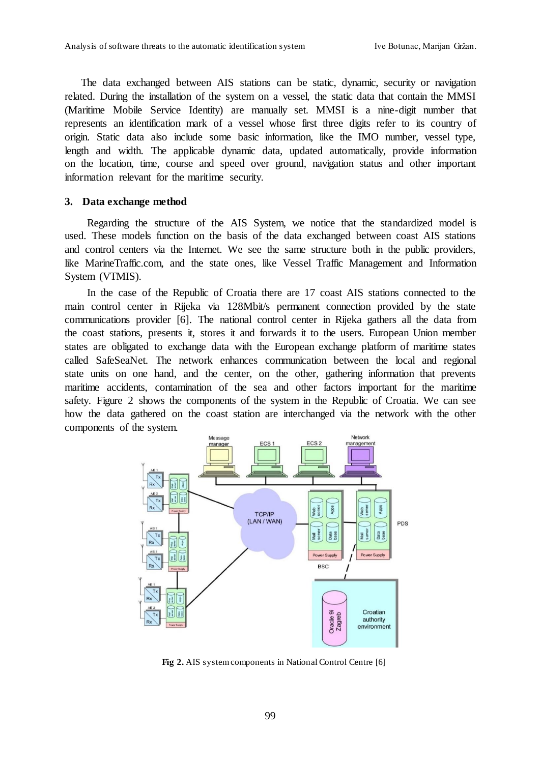The data exchanged between AIS stations can be static, dynamic, security or navigation related. During the installation of the system on a vessel, the static data that contain the MMSI (Maritime Mobile Service Identity) are manually set. MMSI is a nine-digit number that represents an identification mark of a vessel whose first three digits refer to its country of origin. Static data also include some basic information, like the IMO number, vessel type, length and width. The applicable dynamic data, updated automatically, provide information on the location, time, course and speed over ground, navigation status and other important information relevant for the maritime security.

### **3. Data exchange method**

Regarding the structure of the AIS System, we notice that the standardized model is used. These models function on the basis of the data exchanged between coast AIS stations and control centers via the Internet. We see the same structure both in the public providers, like MarineTraffic.com, and the state ones, like Vessel Traffic Management and Information System (VTMIS).

In the case of the Republic of Croatia there are 17 coast AIS stations connected to the main control center in Rijeka via 128Mbit/s permanent connection provided by the state communications provider [6]. The national control center in Rijeka gathers all the data from the coast stations, presents it, stores it and forwards it to the users. European Union member states are obligated to exchange data with the European exchange platform of maritime states called SafeSeaNet. The network enhances communication between the local and regional state units on one hand, and the center, on the other, gathering information that prevents maritime accidents, contamination of the sea and other factors important for the maritime safety. Figure 2 shows the components of the system in the Republic of Croatia. We can see how the data gathered on the coast station are interchanged via the network with the other components of the system.



**Fig 2.** AIS system components in National Control Centre [6]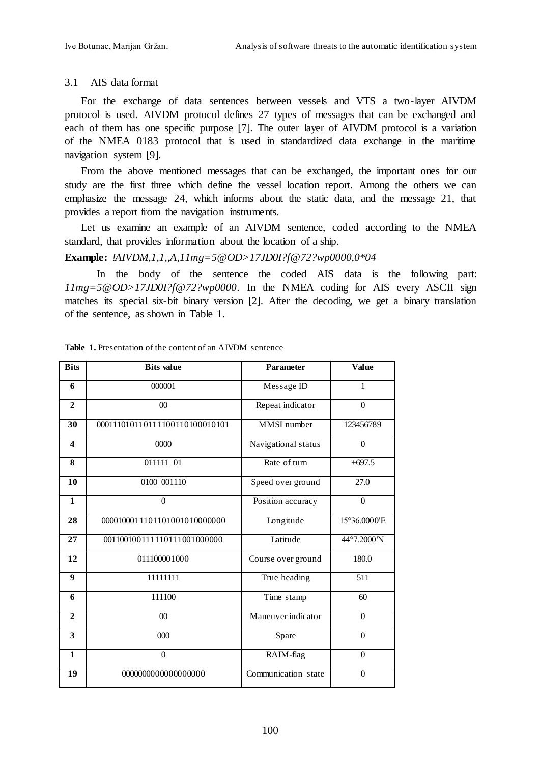# 3.1 AIS data format

For the exchange of data sentences between vessels and VTS a two-layer AIVDM protocol is used. AIVDM protocol defines 27 types of messages that can be exchanged and each of them has one specific purpose [7]. The outer layer of AIVDM protocol is a variation of the NMEA 0183 protocol that is used in standardized data exchange in the maritime navigation system [9].

From the above mentioned messages that can be exchanged, the important ones for our study are the first three which define the vessel location report. Among the others we can emphasize the message 24, which informs about the static data, and the message 21, that provides a report from the navigation instruments.

Let us examine an example of an AIVDM sentence, coded according to the NMEA standard, that provides information about the location of a ship.

**Example:** *!AIVDM,1,1,,A,11mg=5@OD>17JD0I?f@72?wp0000,0\*04*

In the body of the sentence the coded AIS data is the following part: *11mg=5@OD>17JD0I?f@72?wp0000*. In the NMEA coding for AIS every ASCII sign matches its special six-bit binary version [2]. After the decoding, we get a binary translation of the sentence, as shown in Table 1.

| <b>Bits</b>             | <b>Bits value</b>              | <b>Parameter</b>    | <b>Value</b>     |  |
|-------------------------|--------------------------------|---------------------|------------------|--|
| 6                       | 000001                         | Message ID          | 1                |  |
| $\overline{2}$          | $\Omega$                       | Repeat indicator    | $\theta$         |  |
| 30                      | 000111010110111100110100010101 | MMSI number         | 123456789        |  |
| $\overline{\mathbf{4}}$ | 0000                           | Navigational status | $\theta$         |  |
| 8                       | 011111 01                      | Rate of turn        | $+697.5$         |  |
| 10                      | 0100 001110                    | Speed over ground   | 27.0             |  |
| $\mathbf{1}$            | $\theta$                       | Position accuracy   | $\boldsymbol{0}$ |  |
| 28                      | 0000100011101101001010000000   | Longitude           | 15°36.0000'E     |  |
| 27                      | 001100100111110111001000000    | Latitude            | 44°7.2000'N      |  |
| 12                      | 011100001000                   | Course over ground  | 180.0            |  |
| 9                       | 11111111                       | True heading        | 511              |  |
| 6                       | 111100                         | Time stamp          | 60               |  |
| $\overline{2}$          | 0 <sup>0</sup>                 | Maneuver indicator  | $\theta$         |  |
| $\overline{\mathbf{3}}$ | 000                            | Spare               | $\boldsymbol{0}$ |  |
| $\mathbf{1}$            | $\boldsymbol{0}$               | RAIM-flag           | $\theta$         |  |
| 19                      | 00000000000000000000           | Communication state | $\overline{0}$   |  |

**Table 1.** Presentation of the content of an AIVDM sentence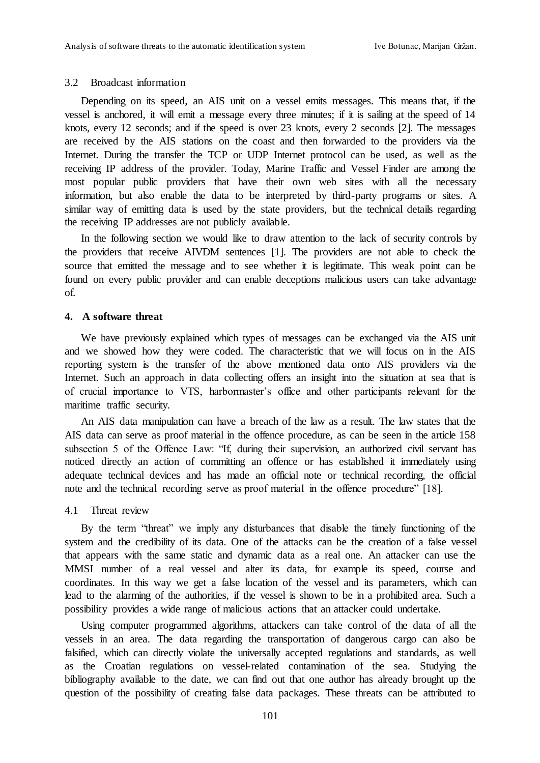#### 3.2 Broadcast information

Depending on its speed, an AIS unit on a vessel emits messages. This means that, if the vessel is anchored, it will emit a message every three minutes; if it is sailing at the speed of 14 knots, every 12 seconds; and if the speed is over 23 knots, every 2 seconds [2]. The messages are received by the AIS stations on the coast and then forwarded to the providers via the Internet. During the transfer the TCP or UDP Internet protocol can be used, as well as the receiving IP address of the provider. Today, Marine Traffic and Vessel Finder are among the most popular public providers that have their own web sites with all the necessary information, but also enable the data to be interpreted by third-party programs or sites. A similar way of emitting data is used by the state providers, but the technical details regarding the receiving IP addresses are not publicly available.

In the following section we would like to draw attention to the lack of security controls by the providers that receive AIVDM sentences [1]. The providers are not able to check the source that emitted the message and to see whether it is legitimate. This weak point can be found on every public provider and can enable deceptions malicious users can take advantage of.

## **4. A software threat**

We have previously explained which types of messages can be exchanged via the AIS unit and we showed how they were coded. The characteristic that we will focus on in the AIS reporting system is the transfer of the above mentioned data onto AIS providers via the Internet. Such an approach in data collecting offers an insight into the situation at sea that is of crucial importance to VTS, harbormaster's office and other participants relevant for the maritime traffic security.

An AIS data manipulation can have a breach of the law as a result. The law states that the AIS data can serve as proof material in the offence procedure, as can be seen in the article 158 subsection 5 of the Offence Law: "If, during their supervision, an authorized civil servant has noticed directly an action of committing an offence or has established it immediately using adequate technical devices and has made an official note or technical recording, the official note and the technical recording serve as proof material in the offence procedure" [18].

#### 4.1 Threat review

By the term "threat" we imply any disturbances that disable the timely functioning of the system and the credibility of its data. One of the attacks can be the creation of a false vessel that appears with the same static and dynamic data as a real one. An attacker can use the MMSI number of a real vessel and alter its data, for example its speed, course and coordinates. In this way we get a false location of the vessel and its parameters, which can lead to the alarming of the authorities, if the vessel is shown to be in a prohibited area. Such a possibility provides a wide range of malicious actions that an attacker could undertake.

Using computer programmed algorithms, attackers can take control of the data of all the vessels in an area. The data regarding the transportation of dangerous cargo can also be falsified, which can directly violate the universally accepted regulations and standards, as well as the Croatian regulations on vessel-related contamination of the sea. Studying the bibliography available to the date, we can find out that one author has already brought up the question of the possibility of creating false data packages. These threats can be attributed to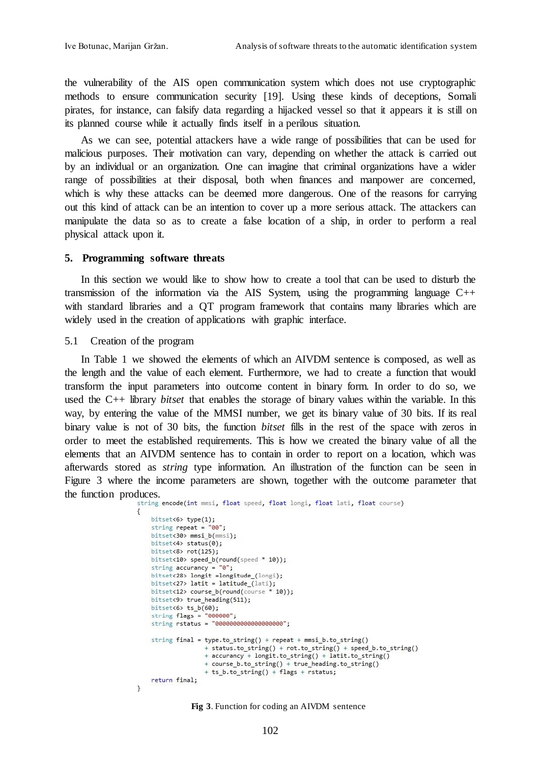the vulnerability of the AIS open communication system which does not use cryptographic methods to ensure communication security [19]. Using these kinds of deceptions, Somali pirates, for instance, can falsify data regarding a hijacked vessel so that it appears it is still on its planned course while it actually finds itself in a perilous situation.

As we can see, potential attackers have a wide range of possibilities that can be used for malicious purposes. Their motivation can vary, depending on whether the attack is carried out by an individual or an organization. One can imagine that criminal organizations have a wider range of possibilities at their disposal, both when finances and manpower are concerned, which is why these attacks can be deemed more dangerous. One of the reasons for carrying out this kind of attack can be an intention to cover up a more serious attack. The attackers can manipulate the data so as to create a false location of a ship, in order to perform a real physical attack upon it.

#### **5. Programming software threats**

In this section we would like to show how to create a tool that can be used to disturb the transmission of the information via the AIS System, using the programming language  $C_{++}$ with standard libraries and a QT program framework that contains many libraries which are widely used in the creation of applications with graphic interface.

5.1 Creation of the program

In Table 1 we showed the elements of which an AIVDM sentence is composed, as well as the length and the value of each element. Furthermore, we had to create a function that would transform the input parameters into outcome content in binary form. In order to do so, we used the C++ library *bitset* that enables the storage of binary values within the variable. In this way, by entering the value of the MMSI number, we get its binary value of 30 bits. If its real binary value is not of 30 bits, the function *bitset* fills in the rest of the space with zeros in order to meet the established requirements. This is how we created the binary value of all the elements that an AIVDM sentence has to contain in order to report on a location, which was afterwards stored as *string* type information. An illustration of the function can be seen in Figure 3 where the income parameters are shown, together with the outcome parameter that the function produces.<br>string encode(int mmsi, float speed, float longi, float lati, float course)

```
\mathbf{f}bitset<6> type(1);
   string repeat = "00";
   bitset<30> mmsi_b(mmsi);
   bitset<4> status(0);
   bitset<8> rot(125);
   bitset<10> speed_b(round(speed * 10));
   string accurancy = "0";
   bitset<28> longit =longitude (longi);
   bitset<27> latit = latitude_(lati);
   bitset<12> course_b(round(course * 10));
   bitset<9> true_heading(511);
   bitset<6>ts_b(60);string flags = "000000";
   string rstatus = "00000000000000000000";
   string final = type.to_string() + repeat + mmsi_b.to_string()
                   + status.to_string() + rot.to_string() + speed_b.to_string()
                   + accurancy + longit.to_string() + latit.to_string()
                   + course_b.to_string() + true_heading.to_string()
                   + ts b.to string() + flags + rstatus;
   return final;
\mathbf{L}
```
**Fig 3**. Function for coding an AIVDM sentence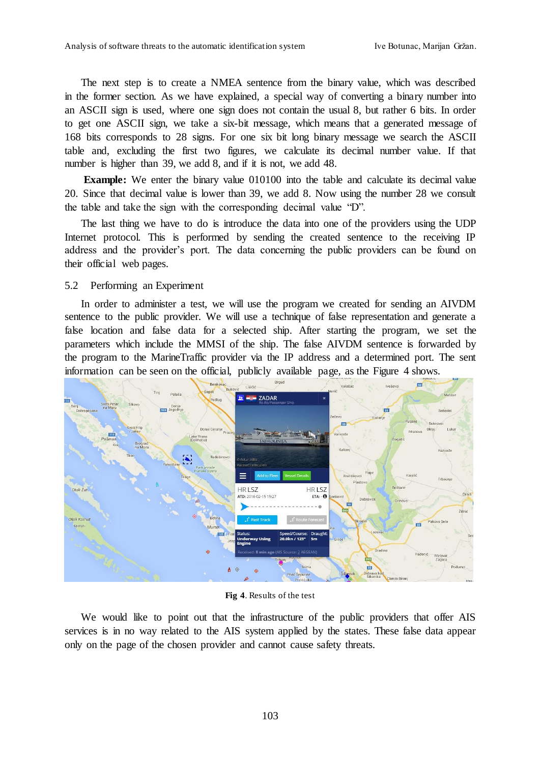The next step is to create a NMEA sentence from the binary value, which was described in the former section. As we have explained, a special way of converting a binary number into an ASCII sign is used, where one sign does not contain the usual 8, but rather 6 bits. In order to get one ASCII sign, we take a six-bit message, which means that a generated message of 168 bits corresponds to 28 signs. For one six bit long binary message we search the ASCII table and, excluding the first two figures, we calculate its decimal number value. If that number is higher than 39, we add 8, and if it is not, we add 48.

**Example:** We enter the binary value 010100 into the table and calculate its decimal value 20. Since that decimal value is lower than 39, we add 8. Now using the number 28 we consult the table and take the sign with the corresponding decimal value "D".

The last thing we have to do is introduce the data into one of the providers using the UDP Internet protocol. This is performed by sending the created sentence to the receiving IP address and the provider's port. The data concerning the public providers can be found on their official web pages.

## 5.2 Performing an Experiment

In order to administer a test, we will use the program we created for sending an AIVDM sentence to the public provider. We will use a technique of false representation and generate a false location and false data for a selected ship. After starting the program, we set the parameters which include the MMSI of the ship. The false AIVDM sentence is forwarded by the program to the MarineTraffic provider via the IP address and a determined port. The sent information can be seen on the official, publicly available page, as the Figure 4 shows.



**Fig 4**. Results of the test

We would like to point out that the infrastructure of the public providers that offer AIS services is in no way related to the AIS system applied by the states. These false data appear only on the page of the chosen provider and cannot cause safety threats.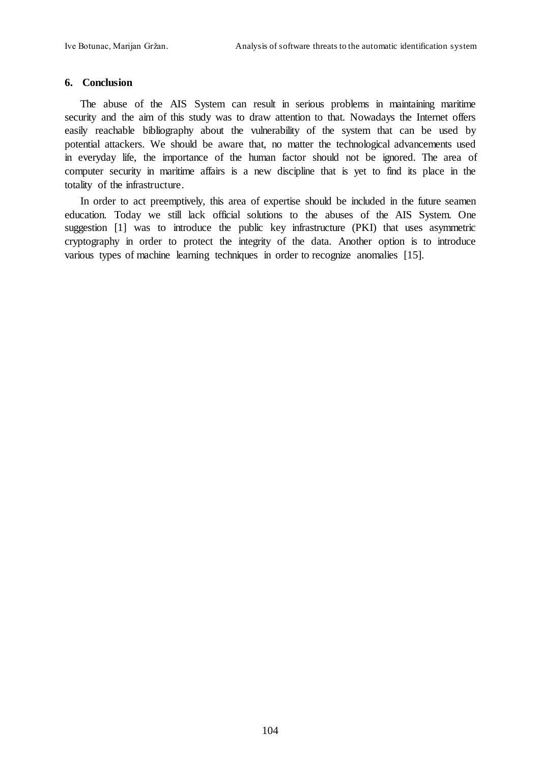# **6. Conclusion**

The abuse of the AIS System can result in serious problems in maintaining maritime security and the aim of this study was to draw attention to that. Nowadays the Internet offers easily reachable bibliography about the vulnerability of the system that can be used by potential attackers. We should be aware that, no matter the technological advancements used in everyday life, the importance of the human factor should not be ignored. The area of computer security in maritime affairs is a new discipline that is yet to find its place in the totality of the infrastructure.

In order to act preemptively, this area of expertise should be included in the future seamen education. Today we still lack official solutions to the abuses of the AIS System. One suggestion [1] was to introduce the public key infrastructure (PKI) that uses asymmetric cryptography in order to protect the integrity of the data. Another option is to introduce various types of machine learning techniques in order to recognize anomalies [15].